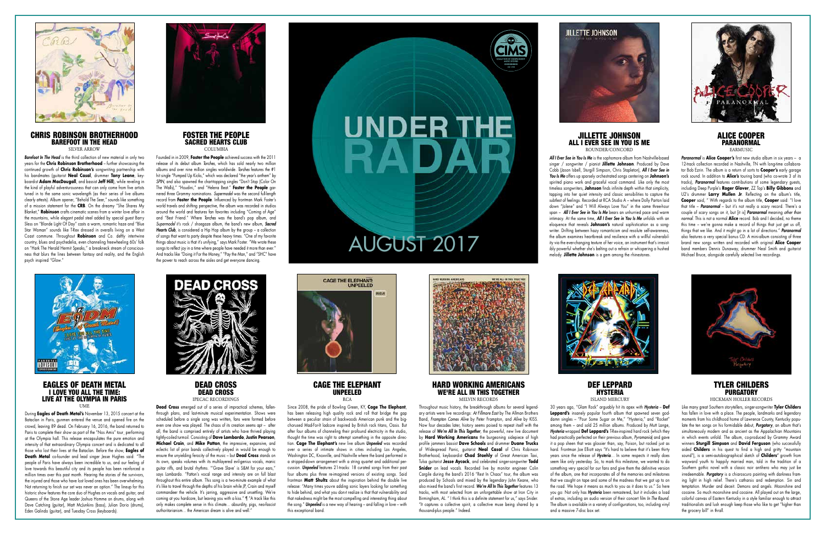## EAGLES OF DEATH METAL I LOVE YOU ALL THE TIME: LIVE AT THE OLYMPIA IN PARIS

UME

**Dead Cross** emerged out of a series of impractical schemes, fallenthrough plans, and last-minute musical experimentation. Shows were scheduled before a single song was written, fans were formed before even one show was played. The chaos of its creation seems apt – after all, the band is comprised entirely of artists who have thrived playing tightly-coiled turmoil. Consisting of **Dave Lombardo**, **Justin Pearson**, **Michael Crain**, and **Mike Patton**, the impressive, expansive, and eclectic list of prior bands collectively played in would be enough to ensure the unyielding ferocity of the music – but **Dead Cross** stands on its own, speaks volumes with its multilayered evil-genius vocals, manic guitar riffs, and brutal rhythms. "'Grave Slave' is S&M for your ears," says Lombardo. "Patton's vocal range and intensity are on full blast throughout this entire album. This song is a two-minute example of what it's like to travel through the depths of his brain while JP, Crain and myself commandeer the vehicle. It's jarring, aggressive and unsettling. We're coming at you hardcore, but leaving you with a kiss." ¶ "A track like this only makes complete sense in this climate... absurdity, pigs, neo-fascist  $\frac{1}{2}$  authoritarianism. The American dream is alive and well.



During **Eagles of Death Metal's** November 13, 2015 concert at the Bataclan in Paris, gunmen entered the venue and opened fire on the crowd, leaving 89 dead. On February 16, 2016, the band returned to Paris to complete their show as part of the "Nos Amis" tour performing at the Olympia hall. This release encapsulates the pure emotion and intensity of that extraordinary Olympia concert and is dedicated to all those who lost their lives at the Bataclan. Before the show, **Eagles of Death Metal** co-founder and lead singer lesse Hughes said: "The people of Paris have always been incredible to us, and our feeling of love towards this beautiful city and its people has been reinforced a million times over this past month. Hearing the stories of the survivors, the injured and those who have lost loved ones has been overwhelming. Not returning to finish our set was never an option." The lineup for this historic show features the core duo of Hughes on vocals and guitar, and Queens of the Stone Age leader Joshua Homme on drums, along with Dave Catching (guitar), Matt McJunkins (bass), Julian Dorio (drums), Eden Galindo (guitar), and Tuesday Cross (keyboards).



DEAD CROSS DEAD CROSS IPECAC RECORDINGS

#### HARD WORKING AMERICANS WE'RE ALL IN THIS TOGETHER MELVIN RECORDS

DEF LEPPARD HYSTERIA ISI AND MERCURY



CAGE THE ELEPHANT UNPEELED RCA

Since 2008, the pride of Bowling Green, KY, **Cage The Elephant**, has been releasing high quality rock and roll that bridge the gap between a peculiar strain of backwoods American punk and the bigchorused Mad-For-It ladcore inspired by British rock titans, Oasis. But after four albums of channeling their profound electricity in the studio, thought the time was right to attempt something in the opposite direction. **Cage The Elephant's** new live album *Unpeeled* was recorded over a series of intimate shows in cities including Los Angeles, Washington DC, Knoxville, and Nashville where the band performed in a stripped-down arrangement with a string quartet and additional percussion. *Unpeeled* features 21-tracks: 18 curated songs from their past four albums plus three re-imagined versions of existing songs. Said frontman **Matt Shultz** about the inspiration behind the double live release: "Many times you›re adding sonic layers looking for something to hide behind, and what you don›t realize is that that vulnerability and that nakedness might be the most compelling and interesting thing about the song." *Unpeeled* is a new way of hearing – and falling in love – with this exceptional band.



# **UNDER THE** RAD



#### CHRIS ROBINSON BROTHERHOOD BAREFOOT IN THE HEAD SILVER ARROW

#### FOSTER THE PEOPLE SACRED HEARTS CLUB **COLUMBIA**

Throughout music history, the breakthrough albums for several legendary artists were live recordings: *At Fillmore East* by The Allman Brothers Band, *Frampton Comes Alive* by Peter Frampton, and *Alive* by KISS. Now four decades later, history seems poised to repeat itself with the release of *We're All In This Together*, the powerful, new live document by **Hard Working Americans** the burgeoning sidepiece of high profile jammers bassist **Dave Schools** and drummer **Duane Trucks** of Widespread Panic, guitarist **Neal Casal** of Chris Robinson Brotherhood, keyboardist **Chad Staehly** of Great American Taxi, Tulsa guitarist **Jesse Aycock**, and celebrated singer-songwriter **Todd Snider** on lead vocals. Recorded live by monitor engineer Colin Caraile during the band's 2016 "Rest In Chaos" tour, the album was produced by Schools and mixed by the legendary John Keane, who also mixed the band's first record. *We're All In This Together* features 13 tracks, with most selected from an unforgettable show at Iron City in Birmingham, AL. " I think this is a definite statement for us," says Snider. "It captures a collective spirit, a collective muse being shared by a thousand-plus people." Indeed.



#### JILLETTE JOHNSON ALL I EVER SEE IN YOU IS ME ROUNDER/CONCORD

### ALICE COOPER PARANORMAL **EARMUSIC**

30 years ago, "Glam Rock" arguably hit its apex with *Hysteria* – **Def Leppard's** insanely popular fourth album that spawned seven goddamn singles – "Pour Some Sugar on Me," "Hysteria," and "Rocket" among them – and sold 25 million albums. Produced by Mutt Lange, *Hysteria* wrapped **Def Leppard's** T-Rex-inspired hard rock (which they had practically perfected on their previous album, *Pyromania*) and gave it a pop sheen that was glossier than, say, Poison, but rocked just as hard. Frontman Joe Elliott says "It's hard to believe that it's been thirty years since the release of *Hysteria*… In some respects it really does seem like only yesterday. So, to mark this milestone, we wanted to do something very special for our fans and give them the definitive version of the album, one that incorporates all of the memories and milestones that we caught on tape and some of the madness that we got up to on the road. We hope it means as much to you as it does to us." So here you go: Not only has *Hysteria* been remastered, but it includes a load of extras, including an audio version of their concert film *In The Round*. The album is available in a variety of configurations, too, including vinyl and a massive 7-disc box set.

# TYLER CHILDERS PURGATORY

HICKMAN HOLLER RECORDS

Like many great Southern storytellers, singer-songwriter **Tyler Childers** has fallen in love with a place. The people, landmarks and legendary moments from his childhood home of Lawrence County, Kentucky populate the ten songs on his formidable debut, *Purgatory*, an album that's simultaneously modern and as ancient as the Appalachian Mountains in which events unfold. The album, co-produced by Grammy Award winners **Sturgill Simpson** and **David Ferguson** (who successfully aided **Childers** in his quest to find a high and gritty "mountain sound"), is a semi-autobiographical sketch of **Childers'** growth from wayward youth to happily married man, told in the tradition of a Southern gothic novel with a classic noir antihero who may just be irredeemable. *Purgatory* is a chiaroscuro painting with darkness framing light in high relief. There's catharsis and redemption. Sin and temptation. Murder and deceit. Demons and angels. Moonshine and cocaine. So much moonshine and cocaine. All played out on the large, colorful canvas of Eastern Kentucky in a style familiar enough to attract traditionalists and lush enough keep those who like to get "higher than the grocery bill" in thrall.

*Barefoot In The Head* is the third collection of new material in only two years for the **Chris Robinson Brotherhood** – further showcasing the continued growth of **Chris Robinson's** songwriting partnership with his bandmates (guitarist **Neal Casal**, drummer **Tony Leone**, keyboardist **Adam MacDougall**, and bassist **Jeff Hill**), while reveling in the kind of playful adventurousness that can only come from five artists tuned in to the same sonic wavelength (as their series of live albums clearly attests). Album opener, "Behold The Seer," sounds like something of a mission statement for the **CRB**. On the dreamy "She Shares My Blanket," **Robinson** crafts cinematic scenes from a winter love affair in the mountains, while elegant pedal steel added by special guest Barry Sless on "Blonde Light Of Day" casts a warm, romantic haze and "Blue Star Woman" sounds like T-Rex dressed in overalls living on a West Coast commune. Throughout **Robinson** and Co. deftly intertwine country, blues and psychedelia, even channeling freewheeling 60s' folk on "Hark The Herald Hermit Speaks," a breakneck stream of consciousness that blurs the lines between fantasy and reality, and the English psych inspired "Glow."



Founded in in 2009, **Foster the People** achieved success with the 2011 release of its debut album *Torches*, which has sold nearly two million albums and over nine million singles worldwide. *Torches* features the #1 hit single "Pumped Up Kicks," which was declared "the year's anthem" by *SPIN*, and also spawned the chart-topping singles "Don't Stop (Color On The Walls)," "Houdini," and "Helena Beat." **Foster the People** garnered three Grammy nominations. *Supermodel* was the second full-length record from **Foster the People**. Influenced by frontman Mark Foster's world travels and shifting perspective, the album was recorded in studios around the world and features fan favorites including "Coming of Age" and "Best Friend." Where *Torches* was the band's pop album, and *Supermodel* it's rock / shoegaze album, the band's new album, *Sacred Hearts Club*, is considered a Hip Hop album by the group – a collection of songs that want to party despite these heavy times. "One of my favorite things about music is that it's unifying," says Mark Foster. "We wrote these songs to reflect joy in a time where people have needed it more than ever." And tracks like "Doing it For the Money," "Pay the Man," and "SHC" have the power to reach across the aisles and get everyone dancing.



AUGUST 2017



*All I Ever See in You Is Me* is the sophomore album from Nashville-based singer / songwriter / pianist **Jillette Johnson**. Produced by Dave Cobb (Jason Isbell, Sturgill Simpson, Chris Stapleton), *All I Ever See in You Is Me* offers up sparsely orchestrated songs centering on **Johnson's** spirited piano work and graceful vocal command. Like only the most timeless songwriters, **Johnson** finds infinite depth within that simplicity, tapping into her quiet intensity and classic sensibilities to capture the subtlest of feelings. Recorded at RCA Studio A – where Dolly Parton laid down "Jolene" and "I Will Always Love You" in the same three-hour span – *All I Ever See in You Is Me* bears an unhurried pace and warm intimacy. At the same time, *All I Ever See in You Is Me* unfolds with an eloquence that reveals **Johnson's** natural sophistication as a songwriter. Drifting between hazy romanticism and resolute self-awareness. the album examines heartbreak and resilience with a willful vulnerability via the ever-changing texture of her voice, an instrument that's irresistibly powerful whether she's belting out a refrain or whispering a hushed melody. **Jillette Johnson** is a gem among the rhinestones.



*Paranormal* is **Alice Cooper's** first new studio album in six years – a 12-track collection recorded in Nashville, TN with long-time collaborator Bob Ezrin. The album is a return of sorts to **Cooper's** early garage rock sound. In addition to **Alice's** touring band (who co-wrote 3 of its tracks), *Paranormal* features contributions of some legendary guests, including Deep Purple's **Roger Glover**, ZZ Top's **Billy Gibbons** and U2's drummer **Larry Mullen Jr**. Reflecting on the album's title, **Cooper** said, " With regards to the album title, **Cooper** said: "I love that title – *Paranormal* – but it's not really a scary record. There's a couple of scary songs on it, but [it is] *Paranormal* meaning *other than normal*. This is not a normal **Alice** record. Bob and I decided, no theme this time – we're gonna make a record of things that just get us off. things that we like. And it might go in a lot of directions." *Paranormal* also features a very special bonus CD: A mini-album consisting of three brand new songs written and recorded with original **Alice Cooper** band members Dennis Dunaway, drummer Neal Smith and guitarist Michael Bruce, alongside carefully selected live recordings.